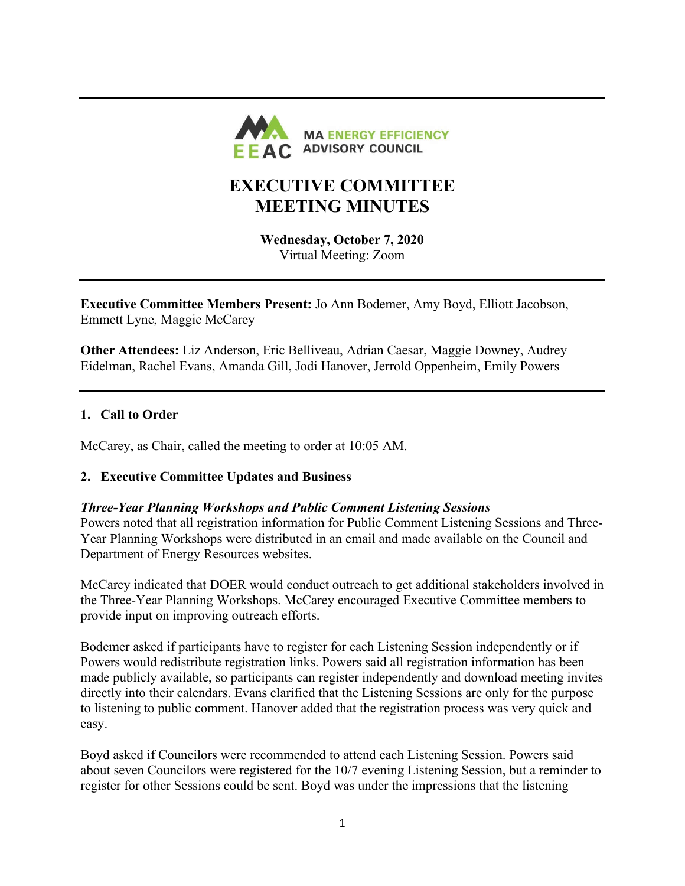

# **EXECUTIVE COMMITTEE MEETING MINUTES**

**Wednesday, October 7, 2020** Virtual Meeting: Zoom

**Executive Committee Members Present:** Jo Ann Bodemer, Amy Boyd, Elliott Jacobson, Emmett Lyne, Maggie McCarey

**Other Attendees:** Liz Anderson, Eric Belliveau, Adrian Caesar, Maggie Downey, Audrey Eidelman, Rachel Evans, Amanda Gill, Jodi Hanover, Jerrold Oppenheim, Emily Powers

# **1. Call to Order**

McCarey, as Chair, called the meeting to order at 10:05 AM.

## **2. Executive Committee Updates and Business**

## *Three-Year Planning Workshops and Public Comment Listening Sessions*

Powers noted that all registration information for Public Comment Listening Sessions and Three-Year Planning Workshops were distributed in an email and made available on the Council and Department of Energy Resources websites.

McCarey indicated that DOER would conduct outreach to get additional stakeholders involved in the Three-Year Planning Workshops. McCarey encouraged Executive Committee members to provide input on improving outreach efforts.

Bodemer asked if participants have to register for each Listening Session independently or if Powers would redistribute registration links. Powers said all registration information has been made publicly available, so participants can register independently and download meeting invites directly into their calendars. Evans clarified that the Listening Sessions are only for the purpose to listening to public comment. Hanover added that the registration process was very quick and easy.

Boyd asked if Councilors were recommended to attend each Listening Session. Powers said about seven Councilors were registered for the 10/7 evening Listening Session, but a reminder to register for other Sessions could be sent. Boyd was under the impressions that the listening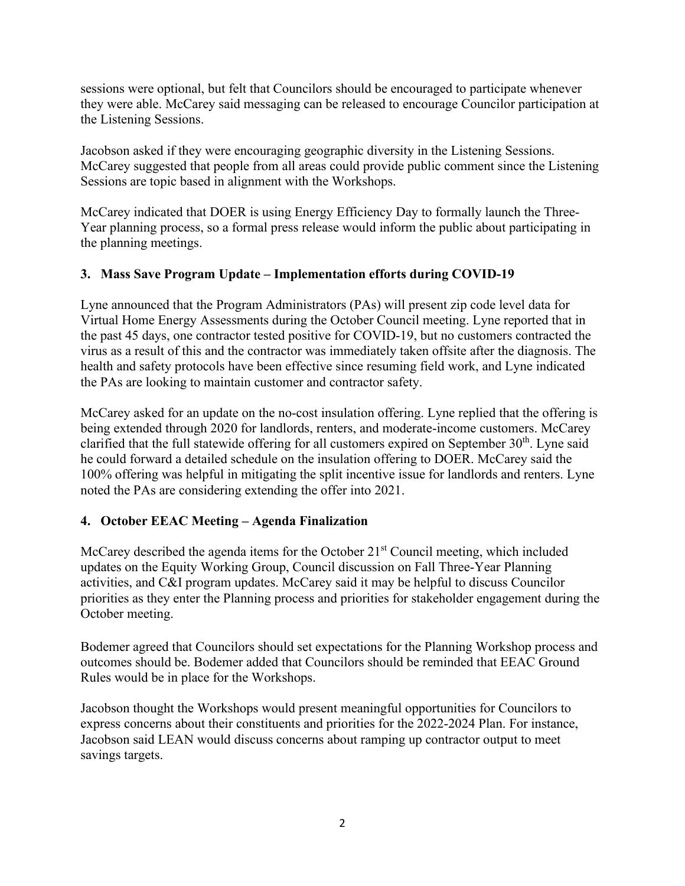sessions were optional, but felt that Councilors should be encouraged to participate whenever they were able. McCarey said messaging can be released to encourage Councilor participation at the Listening Sessions.

Jacobson asked if they were encouraging geographic diversity in the Listening Sessions. McCarey suggested that people from all areas could provide public comment since the Listening Sessions are topic based in alignment with the Workshops.

McCarey indicated that DOER is using Energy Efficiency Day to formally launch the Three-Year planning process, so a formal press release would inform the public about participating in the planning meetings.

# **3. Mass Save Program Update – Implementation efforts during COVID-19**

Lyne announced that the Program Administrators (PAs) will present zip code level data for Virtual Home Energy Assessments during the October Council meeting. Lyne reported that in the past 45 days, one contractor tested positive for COVID-19, but no customers contracted the virus as a result of this and the contractor was immediately taken offsite after the diagnosis. The health and safety protocols have been effective since resuming field work, and Lyne indicated the PAs are looking to maintain customer and contractor safety.

McCarey asked for an update on the no-cost insulation offering. Lyne replied that the offering is being extended through 2020 for landlords, renters, and moderate-income customers. McCarey clarified that the full statewide offering for all customers expired on September  $30<sup>th</sup>$ . Lyne said he could forward a detailed schedule on the insulation offering to DOER. McCarey said the 100% offering was helpful in mitigating the split incentive issue for landlords and renters. Lyne noted the PAs are considering extending the offer into 2021.

## **4. October EEAC Meeting – Agenda Finalization**

McCarey described the agenda items for the October 21<sup>st</sup> Council meeting, which included updates on the Equity Working Group, Council discussion on Fall Three-Year Planning activities, and C&I program updates. McCarey said it may be helpful to discuss Councilor priorities as they enter the Planning process and priorities for stakeholder engagement during the October meeting.

Bodemer agreed that Councilors should set expectations for the Planning Workshop process and outcomes should be. Bodemer added that Councilors should be reminded that EEAC Ground Rules would be in place for the Workshops.

Jacobson thought the Workshops would present meaningful opportunities for Councilors to express concerns about their constituents and priorities for the 2022-2024 Plan. For instance, Jacobson said LEAN would discuss concerns about ramping up contractor output to meet savings targets.